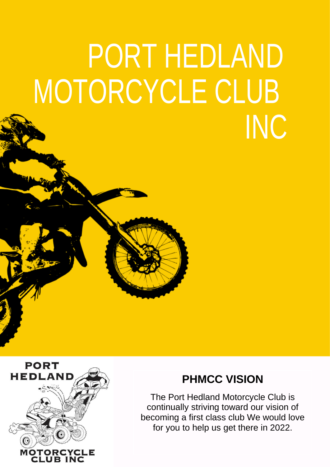# PORT HEDLAND MOTORCYCLE CLUB INC



## **PHMCC VISION**

The Port Hedland Motorcycle Club is continually striving toward our vision of becoming a first class club We would love for you to help us get there in 2022.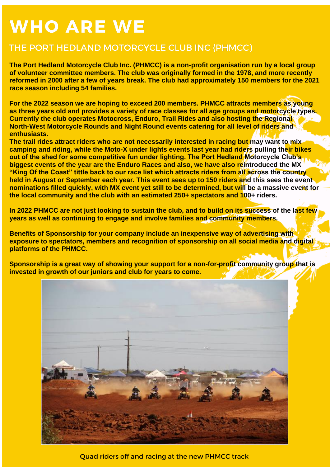# **WHO ARE WE**

### THE PORT HEDLAND MOTORCYCLE CLUB INC (PHMCC)

**The Port Hedland Motorcycle Club Inc. (PHMCC) is a non-profit organisation run by a local group of volunteer committee members. The club was originally formed in the 1978, and more recently reformed in 2000 after a few of years break. The club had approximately 150 members for the 2021 race season including 54 families.**

**For the 2022 season we are hoping to exceed 200 members. PHMCC attracts members as young as three years old and provides a variety of race classes for all age groups and motorcycle types. Currently the club operates Motocross, Enduro, Trail Rides and also hosting the Regional North-West Motorcycle Rounds and Night Round events catering for all level of riders and enthusiasts.** 

**The trail rides attract riders who are not necessarily interested in racing but may want to mix camping and riding, while the Moto-X under lights events last year had riders pulling their bikes out of the shed for some competitive fun under lighting. The Port Hedland Motorcycle Club's biggest events of the year are the Enduro Races and also, we have also reintroduced the MX "King Of the Coast" tittle back to our race list which attracts riders from all across the country held in August or September each year. This event sees up to 150 riders and this sees the event nominations filled quickly, with MX event yet still to be determined, but will be a massive event for the local community and the club with an estimated 250+ spectators and 100+ riders.**

**In 2022 PHMCC are not just looking to sustain the club, and to build on its success of the last few years as well as continuing to engage and involve families and community members.** 

**Benefits of Sponsorship for your company include an inexpensive way of advertising with exposure to spectators, members and recognition of sponsorship on all social media and digital platforms of the PHMCC.** 

**Sponsorship is a great way of showing your support for a non-for-profit community group that is invested in growth of our juniors and club for years to come.** 



Quad riders off and racing at the new PHMCC track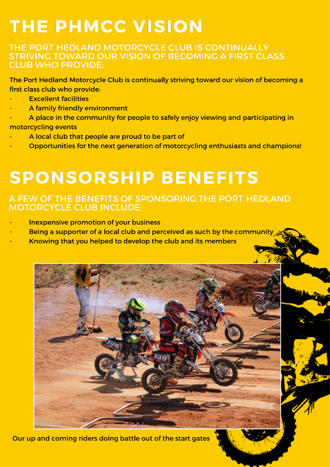# **THE PHMCC VISION**

### THE PORT HEDLAND MOTORCYCLE CLUB IS CONTINUALLY STRIVING TOWARD OUR VISION OF BECOMING A FIRST CLASS **CLUB WHO PROVIDE:**

The Port Hedland Motorcycle Club is continually striving toward our vision of becoming a first class club who provide:

- **Excellent facilities**
- A family friendly environment
- A place in the community for people to safely enjoy viewing and participating in motorcycling events
- A local club that people are proud to be part of
- Opportunities for the next generation of motorcycling enthusiasts and champions!

# **SPONSORSHIP BENEFITS**

### A FEW OF THE BENEFITS OF SPONSORING THE PORT HEDLAND **MOTORCYCLE CLUB INCLUDE:**

- **Inexpensive promotion of your business**
- Being a supporter of a local club and perceived as such by the community
- Knowing that you helped to develop the club and its members



Our up and coming riders doing battle out of the start gates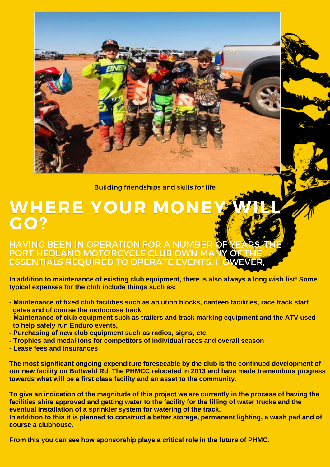**Building friendships and skills for life** 

# **WHERE YOUR MON GO?**

### **HAVING BEEN IN OPERATION FOR A NUMBER** PORT HEDLAND MOTORCYCLE CLUB OWN MANY **ESSENTIALS REOUIRED TO OPERATE EVENTS. H**

 **In addition to maintenance of existing club equipment, there is also always a long wish list! Some typical expenses for the club include things such as;**

- **- Maintenance of fixed club facilities such as ablution blocks, canteen facilities, race track start gates and of course the motocross track.**
- **- Maintenance of club equipment such as trailers and track marking equipment and the ATV used to help safely run Enduro events,**
- **- Purchasing of new club equipment such as radios, signs, etc**
- **- Trophies and medallions for competitors of individual races and overall season**
- **- Lease fees and insurances**

 **The most significant ongoing expenditure foreseeable by the club is the continued development of our new facility on Buttweld Rd. The PHMCC relocated in 2013 and have made tremendous progress towards what will be a first class facility and an asset to the community.**

 **To give an indication of the magnitude of this project we are currently in the process of having the facilities shire approved and getting water to the facility for the filling of water trucks and the eventual installation of a sprinkler system for watering of the track.** 

 **In addition to this it is planned to construct a better storage, permanent lighting, a wash pad and of course a clubhouse.**

 **From this you can see how sponsorship plays a critical role in the future of PHMC.**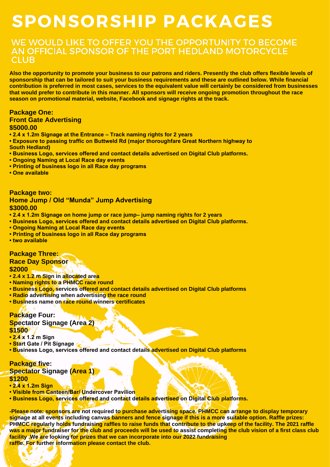# **SPONSORSHIP PACKAGES**

### WE WOULD LIKE TO OFFER YOU THE OPPORTUNITY TO BECOME AN OFFICIAL SPONSOR OF THE PORT HEDLAND MOTORCYCLE **CLUB**

**Also the opportunity to promote your business to our patrons and riders. Presently the club offers flexible levels of sponsorship that can be tailored to suit your business requirements and these are outlined below. While financial contribution is preferred in most cases, services to the equivalent value will certainly be considered from businesses that would prefer to contribute in this manner. All sponsors will receive ongoing promotion throughout the race season on promotional material, website, Facebook and signage rights at the track.**

#### **Package One:**

#### **Front Gate Advertising**

#### **\$5000.00**

- **2.4 x 1.2m Signage at the Entrance – Track naming rights for 2 years**
- **Exposure to passing traffic on Buttweld Rd (major thoroughfare Great Northern highway to South Hedland)**
- **Business Logo, services offered and contact details advertised on Digital Club platforms.**
- **Ongoing Naming at Local Race day events**
- **Printing of business logo in all Race day programs**
- **One available**

#### **Package two: Home Jump / Old "Munda" Jump Advertising \$3000.00**

- **2.4 x 1.2m Signage on home jump or race jump– jump naming rights for 2 years**
- **Business Logo, services offered and contact details advertised on Digital Club platforms.**
- **Ongoing Naming at Local Race day events**
- **Printing of business logo in all Race day programs**
- **two available**

#### **Package Three:**

### **Race Day Sponsor**

#### **\$2000**

- **• 2.4 x 1.2 m Sign in allocated area**
- **• Naming rights to a PHMCC race round**
- **• Business Logo, services offered and contact details advertised on Digital Club platforms**
- **• Radio advertising when advertising the race round**
- **• Business name on race round winners certificates**

#### **Package Four: Spectator Signage (Area 2) \$1500**

- **2.4 x 1.2 m Sign**
- **Start Gate / Pit Signage**
- **Business Logo, services offered and contact details advertised on Digital Club platforms**

#### **Package five:**

**Spectator Signage (Area 1) \$1200**

#### **• 2.4 x 1.2m Sign**

- **Visible from Canteen/Bar/ Undercover Pavilion**
- **Business Logo, services offered and contact details advertised on Digital Club platforms.**

**-Please note: sponsors are not required to purchase advertising space. PHMCC can arrange to display temporary signage at all events including canvas banners and fence signage if this is a more suitable option. Raffle prizes: PHMCC regularly holds fundraising raffles to raise funds that contribute to the upkeep of the facility. The 2021 raffle was a major fundraiser for the club and proceeds will be used to assist completing the club vision of a first class club facility .We are looking for prizes that we can incorporate into our 2022 fundraising raffle. For further information please contact the club.**